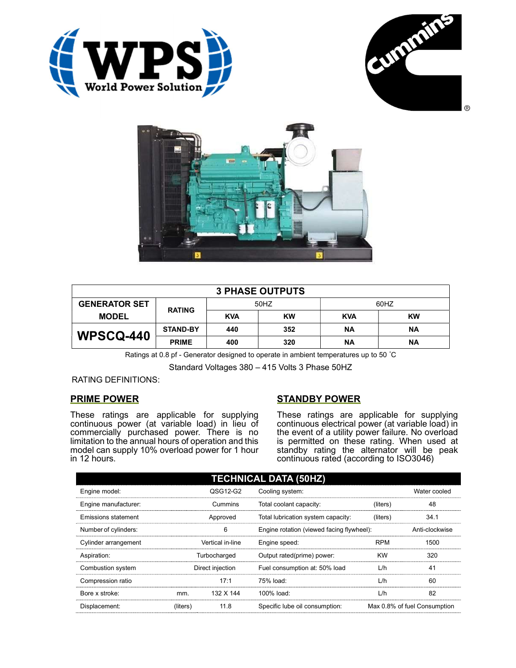





| <b>3 PHASE OUTPUTS</b> |                 |            |           |            |           |  |  |
|------------------------|-----------------|------------|-----------|------------|-----------|--|--|
| <b>GENERATOR SET</b>   | <b>RATING</b>   | 50HZ       |           | 60HZ       |           |  |  |
| <b>MODEL</b>           |                 | <b>KVA</b> | <b>KW</b> | <b>KVA</b> | <b>KW</b> |  |  |
| <b>WPSCQ-440</b>       | <b>STAND-BY</b> | 440        | 352       | ΝA         | ΝA        |  |  |
|                        | <b>PRIME</b>    | 400        | 320       | ΝA         | <b>NA</b> |  |  |

Ratings at 0.8 pf - Generator designed to operate in ambient temperatures up to 50 °C

Standard Voltages 380 – 415 Volts 3 Phase 50HZ

RATING DEFINITIONS:

## PRIME POWER

These ratings are applicable for supplying continuous power (at variable load) in lieu of commercially purchased power. There is no limitation to the annual hours of operation and this model can supply 10% overload power for 1 hour in 12 hours.

# STANDBY POWER

These ratings are applicable for supplying continuous electrical power (at variable load) in the event of a utility power failure. No overload is permitted on these rating. When used at standby rating the alternator will be peak continuous rated (according to ISO3046)

| <b>TECHNICAL DATA (50HZ)</b> |                  |           |                                           |            |                              |  |
|------------------------------|------------------|-----------|-------------------------------------------|------------|------------------------------|--|
| Engine model:                |                  | QSG12-G2  | Cooling system:                           |            | Water cooled                 |  |
| Engine manufacturer:         |                  | Cummins   | Total coolant capacity:                   | (liters)   | 48                           |  |
| Emissions statement          | Approved         |           | Total lubrication system capacity:        | (liters)   | 34.1                         |  |
| Number of cylinders:         | 6                |           | Engine rotation (viewed facing flywheel): |            | Anti-clockwise               |  |
| Cylinder arrangement         | Vertical in-line |           | Engine speed:                             | <b>RPM</b> | 1500                         |  |
| Aspiration:                  | Turbocharged     |           | Output rated(prime) power:                | <b>KW</b>  | 320                          |  |
| Combustion system            | Direct injection |           | Fuel consumption at: 50% load             | L/h        | 41                           |  |
| Compression ratio            |                  | 17:1      | 75% load:                                 | L/h        | 60                           |  |
| Bore x stroke:               | mm.              | 132 X 144 | 100% load:                                | L/h        | 82                           |  |
| Displacement:                | (liters)         | 11.8      | Specific lube oil consumption:            |            | Max 0.8% of fuel Consumption |  |